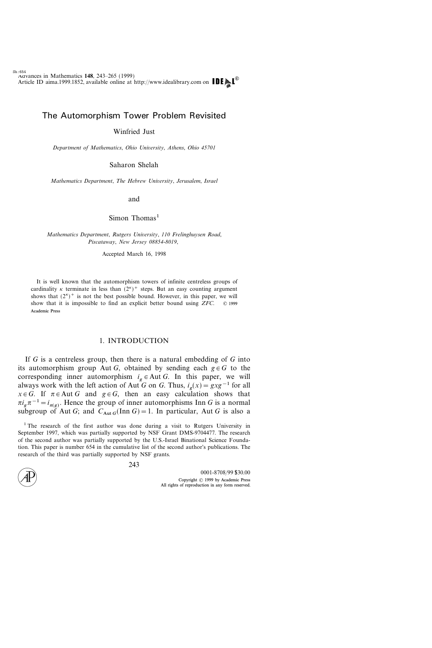# The Automorphism Tower Problem Revisited

## Winfried Just

Department of Mathematics, Ohio University, Athens, Ohio 45701

Saharon Shelah

Mathematics Department, The Hebrew University, Jerusalem, Israel

and

 $Simon$  Thomas<sup>1</sup>

Mathematics Department, Rutgers University, 110 Frelinghuysen Road, Piscataway, New Jersey 08854-8019,

Accepted March 16, 1998

It is well known that the automorphism towers of infinite centreless groups of cardinality  $\kappa$  terminate in less than  $(2^{\kappa})^+$  steps. But an easy counting argument shows that  $(2^{\kappa})^+$  is not the best possible bound. However, in this paper, we will show that it is impossible to find an explicit better bound using  $ZFC$ .  $\odot$  1999 Academic Press

#### 1. INTRODUCTION

If  $G$  is a centreless group, then there is a natural embedding of  $G$  into its automorphism group Aut G, obtained by sending each  $g \in G$  to the corresponding inner automorphism  $i_g \in Aut G$ . In this paper, we will always work with the left action of Aut G on G. Thus,  $i_g(x)= gxg^{-1}$  for all  $x \in G$ . If  $\pi \in$  Aut G and  $g \in G$ , then an easy calculation shows that  $\pi i_{\varrho} \pi^{-1} = i_{\pi(\varrho)}$ . Hence the group of inner automorphisms Inn G is a normal subgroup of Aut G; and  $C_{Aut G}(Inn G) = 1$ . In particular, Aut G is also a

<sup>&</sup>lt;sup>1</sup> The research of the first author was done during a visit to Rutgers University in September 1997, which was partially supported by NSF Grant DMS-9704477. The research of the second author was partially supported by the U.S.-Israel Binational Science Foundation. This paper is number 654 in the cumulative list of the second author's publications. The research of the third was partially supported by NSF grants.

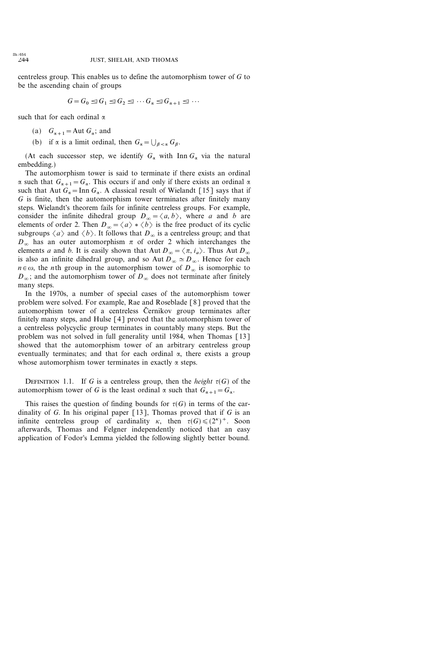centreless group. This enables us to define the automorphism tower of  $G$  to be the ascending chain of groups

$$
G = G_0 \trianglelefteq G_1 \trianglelefteq G_2 \trianglelefteq \cdots G_{\alpha} \trianglelefteq G_{\alpha+1} \trianglelefteq \cdots
$$

such that for each ordinal  $\alpha$ 

- (a)  $G_{\alpha+1}$  = Aut  $G_{\alpha}$ ; and
- (b) if  $\alpha$  is a limit ordinal, then  $G_{\alpha} = \bigcup_{\beta < \alpha} G_{\beta}$ .

(At each successor step, we identify  $G_{\alpha}$  with Inn  $G_{\alpha}$  via the natural embedding.)

The automorphism tower is said to terminate if there exists an ordinal  $\alpha$  such that  $G_{\alpha+1}=G_{\alpha}$ . This occurs if and only if there exists an ordinal  $\alpha$ such that Aut  $G_{\alpha}$  = Inn  $G_{\alpha}$ . A classical result of Wielandt [15] says that if  $G$  is finite, then the automorphism tower terminates after finitely many steps. Wielandt's theorem fails for infinite centreless groups. For example, consider the infinite dihedral group  $D_{\infty} = \langle a, b \rangle$ , where a and b are elements of order 2. Then  $D_{\infty} = \langle a \rangle * \langle b \rangle$  is the free product of its cyclic subgroups  $\langle a \rangle$  and  $\langle b \rangle$ . It follows that  $D_{\infty}$  is a centreless group; and that  $D_{\infty}$  has an outer automorphism  $\pi$  of order 2 which interchanges the elements a and b. It is easily shown that Aut  $D_{\infty} = \langle \pi, i_{a} \rangle$ . Thus Aut  $D_{\infty}$ is also an infinite dihedral group, and so Aut  $D_{\infty} \simeq D_{\infty}$ . Hence for each  $n \in \omega$ , the *n*th group in the automorphism tower of  $D_{\infty}$  is isomorphic to  $D_{\infty}$ ; and the automorphism tower of  $D_{\infty}$  does not terminate after finitely many steps.

In the 1970s, a number of special cases of the automorphism tower problem were solved. For example, Rae and Roseblade [8] proved that the automorphism tower of a centreless Černikov group terminates after finitely many steps, and Hulse [4] proved that the automorphism tower of a centreless polycyclic group terminates in countably many steps. But the problem was not solved in full generality until 1984, when Thomas [13] showed that the automorphism tower of an arbitrary centreless group eventually terminates; and that for each ordinal  $\alpha$ , there exists a group whose automorphism tower terminates in exactly  $\alpha$  steps.

DEFINITION 1.1. If G is a centreless group, then the *height*  $\tau(G)$  of the automorphism tower of G is the least ordinal  $\alpha$  such that  $G_{\alpha+1}=G_{\alpha}$ .

This raises the question of finding bounds for  $\tau(G)$  in terms of the cardinality of G. In his original paper  $[13]$ , Thomas proved that if G is an infinite centreless group of cardinality  $\kappa$ , then  $\tau(G) \leq (2^{\kappa})^+$ . Soon afterwards, Thomas and Felgner independently noticed that an easy application of Fodor's Lemma yielded the following slightly better bound.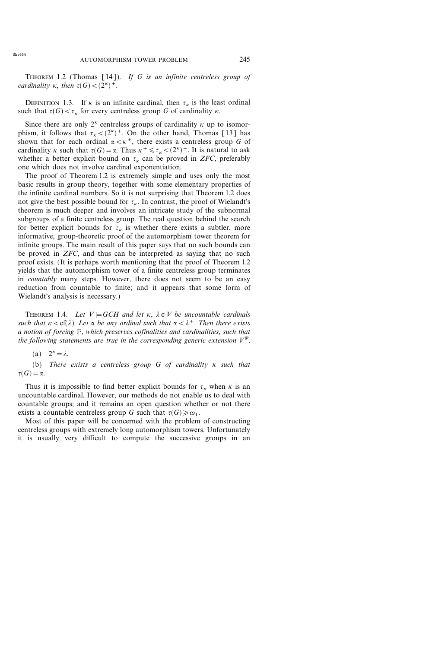THEOREM 1.2 (Thomas [14]). If G is an infinite centreless group of cardinality  $\kappa$ , then  $\tau(G) < (2^{\kappa})^+$ .

DEFINITION 1.3. If  $\kappa$  is an infinite cardinal, then  $\tau_{\kappa}$  is the least ordinal such that  ${\tau(G) < \tau_{\kappa}}$  for every centreless group G of cardinality  ${\kappa}$ .

Since there are only  $2^{\kappa}$  centreless groups of cardinality  $\kappa$  up to isomorphism, it follows that  $\tau_{\kappa} < (2^{\kappa})^+$ . On the other hand, Thomas [13] has shown that for each ordinal  $\alpha < \kappa^+$ , there exists a centreless group G of cardinality  $\kappa$  such that  $\tau(G) = \alpha$ . Thus  $\kappa^+ \le \tau_{\kappa} < (2^{\kappa})^+$ . It is natural to ask whether a better explicit bound on  $\tau_{\kappa}$  can be proved in ZFC, preferably one which does not involve cardinal exponentiation.

The proof of Theorem 1.2 is extremely simple and uses only the most basic results in group theory, together with some elementary properties of the infinite cardinal numbers. So it is not surprising that Theorem 1.2 does not give the best possible bound for  $\tau_{\kappa}$ . In contrast, the proof of Wielandt's theorem is much deeper and involves an intricate study of the subnormal subgroups of a finite centreless group. The real question behind the search for better explicit bounds for  $\tau_{\kappa}$  is whether there exists a subtler, more informative, group-theoretic proof of the automorphism tower theorem for infinite groups. The main result of this paper says that no such bounds can be proved in *ZFC*, and thus can be interpreted as saying that no such proof exists. (It is perhaps worth mentioning that the proof of Theorem 1.2 yields that the automorphism tower of a finite centreless group terminates in *countably* many steps. However, there does not seem to be an easy reduction from countable to finite; and it appears that some form of Wielandt's analysis is necessary.)

THEOREM 1.4. Let  $V \models GCH$  and let  $\kappa$ ,  $\lambda \in V$  be uncountable cardinals such that  $\kappa < c f(\lambda)$ . Let  $\alpha$  be any ordinal such that  $\alpha < \lambda^+$ . Then there exists a notion of forcing P, which preserves cofinalities and cardinalities, such that the following statements are true in the corresponding generic extension  $V^{\mathbb{P}}$ .

(a) 
$$
2^k = \lambda
$$
.

(b) There exists a centreless group  $G$  of cardinality  $\kappa$  such that  $\tau(G)=\alpha.$ 

Thus it is impossible to find better explicit bounds for  $\tau_{\kappa}$  when  $\kappa$  is an uncountable cardinal. However, our methods do not enable us to deal with countable groups; and it remains an open question whether or not there exists a countable centreless group G such that  $\tau(G) \ge \omega_1$ .

Most of this paper will be concerned with the problem of constructing centreless groups with extremely long automorphism towers. Unfortunately it is usually very difficult to compute the successive groups in an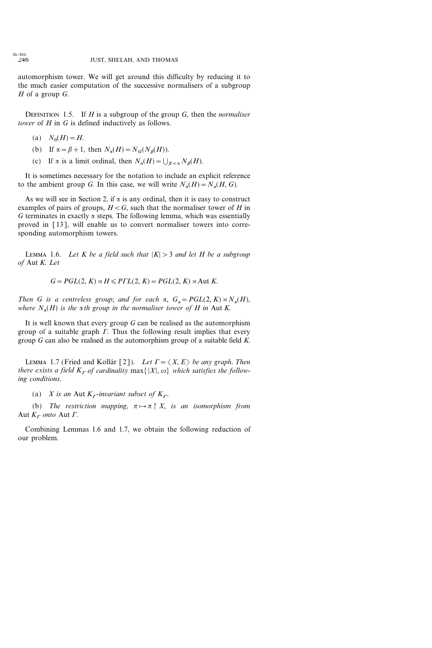automorphism tower. We will get around this difficulty by reducing it to the much easier computation of the successive normalisers of a subgroup  $H$  of a group  $G$ .

DEFINITION 1.5. If  $H$  is a subgroup of the group  $G$ , then the normaliser tower of  $H$  in  $G$  is defined inductively as follows.

- (a)  $N_0(H) = H$ .
- (b) If  $\alpha = \beta + 1$ , then  $N_{\alpha}(H) = N_G(N_{\beta}(H)).$
- (c) If  $\alpha$  is a limit ordinal, then  $N_{\alpha}(H) = \bigcup_{\beta < \alpha} N_{\beta}(H)$ .

It is sometimes necessary for the notation to include an explicit reference to the ambient group G. In this case, we will write  $N_a(H) = N_a(H, G)$ .

As we will see in Section 2, if  $\alpha$  is any ordinal, then it is easy to construct examples of pairs of groups,  $H < G$ , such that the normaliser tower of H in G terminates in exactly  $\alpha$  steps. The following lemma, which was essentially proved in [13], will enable us to convert normaliser towers into corresponding automorphism towers.

LEMMA 1.6. Let K be a field such that  $|K| > 3$  and let H be a subgroup of Aut K. Let

 $G = PGL(2, K) \rtimes H \leq PTL(2, K) = PGL(2, K) \rtimes Aut K$ .

Then G is a centreless group; and for each  $\alpha$ ,  $G_{\alpha} = PGL(2, K) \rtimes N_{\alpha}(H)$ , where  $N_{\alpha}(H)$  is the  $\alpha$ th group in the normaliser tower of H in Aut K.

It is well known that every group  $G$  can be realised as the automorphism group of a suitable graph  $\Gamma$ . Thus the following result implies that every group  $G$  can also be realised as the automorphism group of a suitable field  $K$ .

LEMMA 1.7 (Fried and Kollár [2]). Let  $\Gamma = \langle X, E \rangle$  be any graph. Then there exists a field  $K_r$  of cardinality max $\{|X|, \omega\}$  which satisfies the following conditions.

(a) X is an Aut  $K_r$ -invariant subset of  $K_r$ .

(b) The restriction mapping,  $\pi \mapsto \pi \upharpoonright X$ , is an isomorphism from Aut  $K_r$  onto Aut  $\Gamma$ .

Combining Lemmas 1.6 and 1.7, we obtain the following reduction of our problem.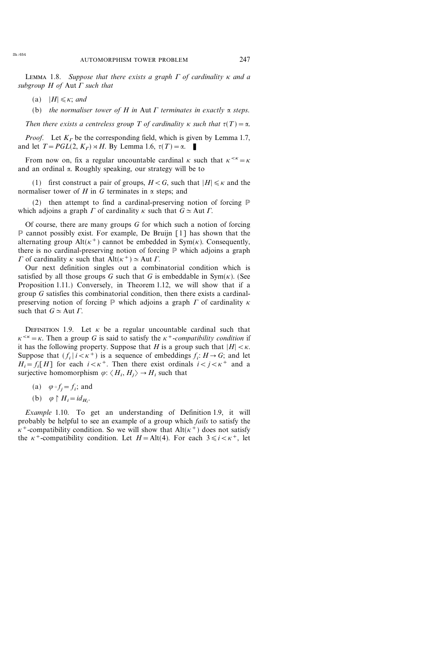LEMMA 1.8. Suppose that there exists a graph  $\Gamma$  of cardinality  $\kappa$  and a subgroup  $H$  of  $Aut \Gamma$  such that

- (a)  $|H| \leq \kappa$ ; and
- (b) the normaliser tower of H in Aut  $\Gamma$  terminates in exactly  $\alpha$  steps.

Then there exists a centreless group T of cardinality  $\kappa$  such that  $\tau(T)=\alpha$ .

*Proof.* Let  $K<sub>r</sub>$  be the corresponding field, which is given by Lemma 1.7, and let  $T = PGL(2, K_r) \rtimes H$ . By Lemma 1.6,  $\tau(T) = \alpha$ .

From now on, fix a regular uncountable cardinal  $\kappa$  such that  $\kappa^{<\kappa} = \kappa$ and an ordinal  $\alpha$ . Roughly speaking, our strategy will be to

(1) first construct a pair of groups,  $H < G$ , such that  $|H| \le \kappa$  and the normaliser tower of H in G terminates in  $\alpha$  steps; and

(2) then attempt to find a cardinal-preserving notion of forcing P which adjoins a graph  $\Gamma$  of cardinality  $\kappa$  such that  $G \simeq$  Aut  $\Gamma$ .

Of course, there are many groups  $G$  for which such a notion of forcing P cannot possibly exist. For example, De Bruijn [1] has shown that the alternating group Alt( $\kappa^+$ ) cannot be embedded in Sym( $\kappa$ ). Consequently, there is no cardinal-preserving notion of forcing  $P$  which adjoins a graph  $\Gamma$  of cardinality  $\kappa$  such that Alt( $\kappa^+$ )  $\simeq$  Aut  $\Gamma$ .

Our next definition singles out a combinatorial condition which is satisfied by all those groups G such that G is embeddable in  $Sym(K)$ . (See Proposition 1.11.) Conversely, in Theorem 1.12, we will show that if a group G satisfies this combinatorial condition, then there exists a cardinalpreserving notion of forcing  $\mathbb P$  which adjoins a graph  $\Gamma$  of cardinality  $\kappa$ such that  $G \simeq$  Aut  $\Gamma$ .

DEFINITION 1.9. Let  $\kappa$  be a regular uncountable cardinal such that  $\kappa^{<\kappa} = \kappa$ . Then a group G is said to satisfy the  $\kappa^+$ -compatibility condition if it has the following property. Suppose that H is a group such that  $|H| < \kappa$ . Suppose that  $(f_i | i < \kappa^+)$  is a sequence of embeddings  $f_i: H \to G$ ; and let  $H_i = f_i[H]$  for each  $i < \kappa^+$ . Then there exist ordinals  $i < j < \kappa^+$  and a surjective homomorphism  $\varphi$ :  $\langle H_i, H_j \rangle \rightarrow H_i$  such that

(a)  $\varphi \circ f_i = f_i$ ; and

(b) 
$$
\varphi \upharpoonright H_i = id_{H_i}
$$
.

Example 1.10. To get an understanding of Definition 1.9, it will probably be helpful to see an example of a group which fails to satisfy the  $\kappa^+$ -compatibility condition. So we will show that Alt( $\kappa^+$ ) does not satisfy the  $\kappa^+$ -compatibility condition. Let  $H = \text{Alt}(4)$ . For each  $3 \le i \le \kappa^+$ , let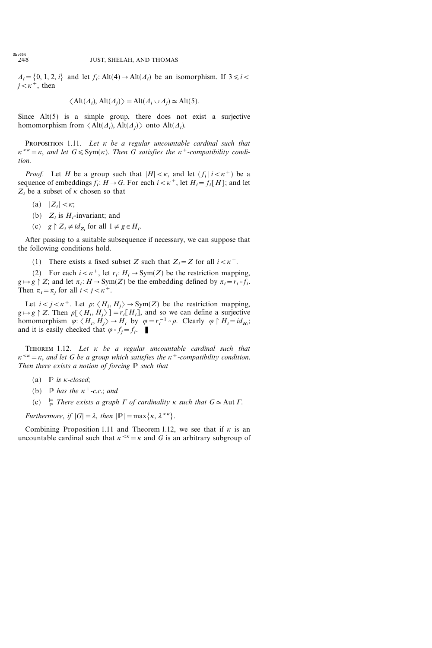$\Delta_i = \{0, 1, 2, i\}$  and let  $f_i$ : Alt $(4) \rightarrow$  Alt $(\Delta_i)$  be an isomorphism. If  $3 \le i$  $j<\kappa^+$ , then

$$
\langle
$$
Alt( $\Delta_i$ ), Alt( $\Delta_j$ ) $\rangle$  = Alt( $\Delta_i \cup \Delta_j$ )  $\simeq$  Alt(5).

Since Alt(5) is a simple group, there does not exist a surjective homomorphism from  $\langle Alt(\Lambda_i), Alt(\Lambda_j)\rangle$  onto  $Alt(\Lambda_i)$ .

PROPOSITION 1.11. Let  $\kappa$  be a regular uncountable cardinal such that  $\kappa^{<\kappa} = \kappa$ , and let  $G \leqslant \text{Sym}(\kappa)$ . Then G satisfies the  $\kappa^+$ -compatibility condition.

*Proof.* Let H be a group such that  $|H| < \kappa$ , and let  $(f_i | i < \kappa^+)$  be a sequence of embeddings  $f_i$ :  $H\to G$ . For each  $i<\kappa^+$ , let  $H_i=f_i[H]$ ; and let  $Z_i$  be a subset of  $\kappa$  chosen so that

- (a)  $|Z_i| < \kappa;$
- (b)  $Z_i$  is  $H_i$ -invariant; and
- (c)  $g \upharpoonright Z_i \neq id_{Z_i}$  for all  $1 \neq g \in H_i$ .

After passing to a suitable subsequence if necessary, we can suppose that the following conditions hold.

(1) There exists a fixed subset Z such that  $Z_i = Z$  for all  $i < \kappa^+$ .

(2) For each  $i < \kappa^+$ , let  $r_i : H_i \to \text{Sym}(Z)$  be the restriction mapping,  $g \mapsto g \upharpoonright Z$ ; and let  $\pi_i : H \to \text{Sym}(Z)$  be the embedding defined by  $\pi_i = r_i \circ f_i$ . Then  $\pi_i = \pi_j$  for all  $i < j < \kappa^+$ .

Let  $i < j < \kappa^+$ . Let  $\rho: \langle H_i, H_j \rangle \rightarrow Sym(Z)$  be the restriction mapping,  $g \mapsto g \upharpoonright Z$ . Then  $\rho[\langle H_i , H_j \rangle] = r_i[H_i]$ , and so we can define a surjective homomorphism  $\varphi: \langle H_i, H_j \rangle \to H_i$  by  $\varphi = r_i^{-1} \circ \rho$ . Clearly  $\varphi \upharpoonright H_i = id_{H_i}$ ; and it is easily checked that  $\varphi \circ f_i = f_i$ .

THEOREM 1.12. Let  $\kappa$  be a regular uncountable cardinal such that  $\kappa^{<\kappa} = \kappa$ , and let G be a group which satisfies the  $\kappa^+$ -compatibility condition. Then there exists a notion of forcing  $P$  such that

- (a)  $\mathbb{P}$  is *k*-closed:
- (b)  $\mathbb P$  has the  $\kappa^+$ -c.c.; and
- $(c)$  $\frac{p}{p}$  There exists a graph  $\Gamma$  of cardinality  $\kappa$  such that  $G \simeq$  Aut  $\Gamma$ .

Furthermore, if  $|G| = \lambda$ , then  $|\mathbb{P}| = \max{\kappa, \lambda^{<\kappa}}$ .

Combining Proposition 1.11 and Theorem 1.12, we see that if  $\kappa$  is an uncountable cardinal such that  $\kappa^{<\kappa} = \kappa$  and G is an arbitrary subgroup of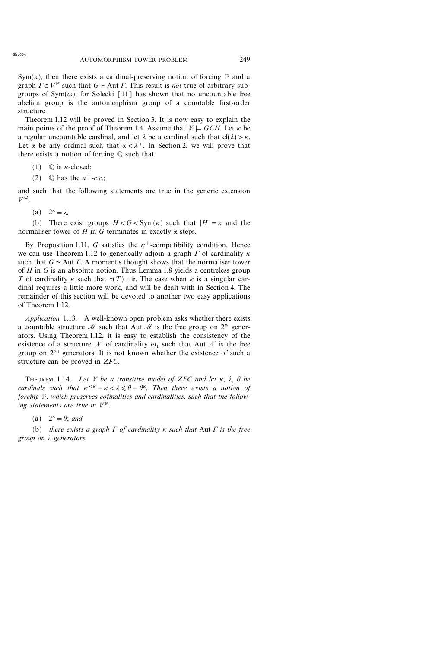$Sym(\kappa)$ , then there exists a cardinal-preserving notion of forcing  $\mathbb P$  and a graph  $\Gamma \in V^{\mathbb{P}}$  such that  $G \simeq$  Aut  $\Gamma$ . This result is *not* true of arbitrary subgroups of Sym( $\omega$ ); for Solecki [11] has shown that no uncountable free abelian group is the automorphism group of a countable first-order structure.

Theorem 1.12 will be proved in Section 3. It is now easy to explain the main points of the proof of Theorem 1.4. Assume that  $V \models GCH$ . Let  $\kappa$  be a regular uncountable cardinal, and let  $\lambda$  be a cardinal such that cf( $\lambda$ ) >  $\kappa$ . Let  $\alpha$  be any ordinal such that  $\alpha < \lambda^+$ . In Section 2, we will prove that there exists a notion of forcing Q such that

- (1)  $\qquad \qquad \mathbb{Q}$  is *k*-closed;
- (2)  $\Box$  has the  $\kappa^+$ -c.c.;

and such that the following statements are true in the generic extension  $V^{\mathbb{Q}}$ .

(a)  $2^{\kappa} = \lambda$ .

(b) There exist groups  $H < G < \text{Sym}(k)$  such that  $|H| = \kappa$  and the normaliser tower of H in G terminates in exactly  $\alpha$  steps.

By Proposition 1.11, G satisfies the  $\kappa^+$ -compatibility condition. Hence we can use Theorem 1.12 to generically adjoin a graph  $\Gamma$  of cardinality  $\kappa$ such that  $G \simeq$  Aut  $\Gamma$ . A moment's thought shows that the normaliser tower of  $H$  in  $G$  is an absolute notion. Thus Lemma 1.8 yields a centreless group T of cardinality  $\kappa$  such that  $\tau(T)=\alpha$ . The case when  $\kappa$  is a singular cardinal requires a little more work, and will be dealt with in Section 4. The remainder of this section will be devoted to another two easy applications of Theorem 1.12.

Application 1.13. A well-known open problem asks whether there exists a countable structure M such that Aut M is the free group on  $2^{\omega}$  generators. Using Theorem 1.12, it is easy to establish the consistency of the existence of a structure N of cardinality  $\omega_1$  such that Aut N is the free group on  $2^{\omega_1}$  generators. It is not known whether the existence of such a structure can be proved in ZFC.

THEOREM 1.14. Let V be a transitive model of ZFC and let  $\kappa$ ,  $\lambda$ ,  $\theta$  be cardinals such that  $\kappa^{<\kappa} = \kappa < \lambda \leq \theta = \theta^{\kappa}$ . Then there exists a notion of forcing P, which preserves cofinalities and cardinalities, such that the following statements are true in  $V^{\mathbb{P}}$ .

(a)  $2^{\kappa} = \theta$ ; and

(b) there exists a graph  $\Gamma$  of cardinality  $\kappa$  such that Aut  $\Gamma$  is the free group on  $\lambda$  generators.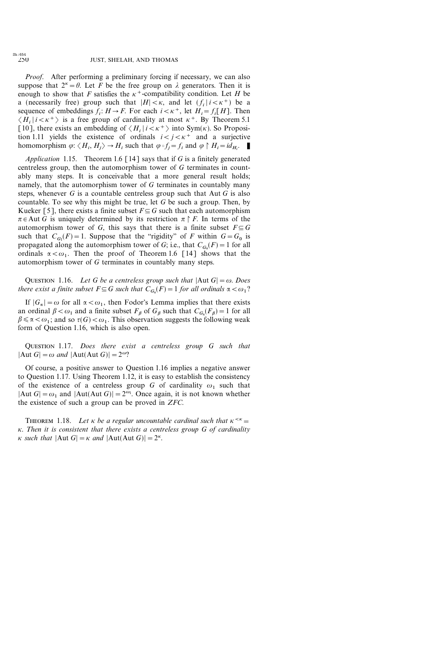*Proof.* After performing a preliminary forcing if necessary, we can also suppose that  $2^k = \theta$ . Let F be the free group on  $\lambda$  generators. Then it is enough to show that F satisfies the  $\kappa^+$ -compatibility condition. Let H be a (necessarily free) group such that  $|H| < \kappa$ , and let  $(f_i | i < \kappa^+)$  be a sequence of embeddings  $f_i: H \to F$ . For each  $i < \kappa^+$ , let  $H_i = f_i[H]$ . Then  $\langle H_i | i \langle \kappa^+ \rangle$  is a free group of cardinality at most  $\kappa^+$ . By Theorem 5.1 [10], there exists an embedding of  $\langle H_i | i \langle \kappa^+ \rangle$  into Sym( $\kappa$ ). So Proposition 1.11 yields the existence of ordinals  $i < j < \kappa^+$  and a surjective homomorphism  $\varphi$ :  $\langle H_i, H_j \rangle \to H_i$  such that  $\varphi \circ f_j = f_i$  and  $\varphi \upharpoonright H_i = id_{H_i}$ .

Application 1.15. Theorem 1.6 [14] says that if  $G$  is a finitely generated centreless group, then the automorphism tower of G terminates in countably many steps. It is conceivable that a more general result holds; namely, that the automorphism tower of G terminates in countably many steps, whenever  $G$  is a countable centreless group such that Aut  $G$  is also countable. To see why this might be true, let  $G$  be such a group. Then, by Kueker [5], there exists a finite subset  $F \subseteq G$  such that each automorphism  $\pi \in$  Aut G is uniquely determined by its restriction  $\pi \upharpoonright F$ . In terms of the automorphism tower of G, this says that there is a finite subset  $F \subseteq G$ such that  $C_{G_1}(F) = 1$ . Suppose that the "rigidity" of F within  $G = G_0$  is propagated along the automorphism tower of G; i.e., that  $C_{G_\alpha}(F) = 1$  for all ordinals  $\alpha < \omega_1$ . Then the proof of Theorem 1.6 [14] shows that the automorphism tower of G terminates in countably many steps.

QUESTION 1.16. Let G be a centreless group such that  $|Aut G| = \omega$ . Does there exist a finite subset  $F \subseteq G$  such that  $C_{G_{\alpha}}(F) = 1$  for all ordinals  $\alpha < \omega_1$ ?

If  $|G_{\alpha}| = \omega$  for all  $\alpha < \omega_1$ , then Fodor's Lemma implies that there exists an ordinal  $\beta < \omega_1$  and a finite subset  $F_\beta$  of  $G_\beta$  such that  $C_{G_\alpha}(F_\beta) = 1$  for all  $\beta \le \alpha \le \omega_1$ ; and so  $\tau(G) \le \omega_1$ . This observation suggests the following weak form of Question 1.16, which is also open.

QUESTION 1.17. Does there exist a centreless group G such that  $|Aut G| = \omega$  and  $|Aut(Aut G)| = 2^{\omega}$ ?

Of course, a positive answer to Question 1.16 implies a negative answer to Question 1.17. Using Theorem 1.12, it is easy to establish the consistency of the existence of a centreless group G of cardinality  $\omega_1$  such that |Aut  $G| = \omega_1$  and  $|Aut(Aut G)| = 2^{\omega_1}$ . Once again, it is not known whether the existence of such a group can be proved in ZFC.

THEOREM 1.18. Let  $\kappa$  be a regular uncountable cardinal such that  $\kappa^{<\kappa} =$  $\kappa$ . Then it is consistent that there exists a centreless group G of cardinality  $\kappa$  such that  $|\text{Aut }G| = \kappa$  and  $|\text{Aut}(\text{Aut }G)| = 2^{\kappa}$ .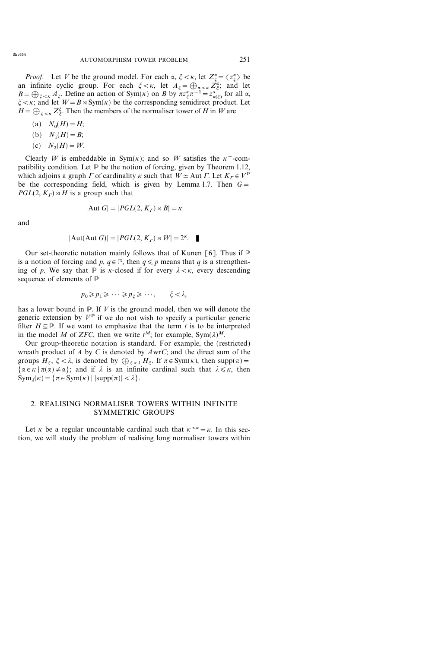*Proof.* Let V be the ground model. For each  $\alpha$ ,  $\xi < \kappa$ , let  $Z_{\xi}^{\alpha} = \langle z_{\xi}^{\alpha} \rangle$  be an infinite cyclic group. For each  $\xi < \kappa$ , let  $A_{\xi} = \bigoplus_{\alpha < \kappa} Z_{\xi}^{\alpha}$ ; and let  $B = \bigoplus_{\xi < \kappa} A_{\xi}$ . Define an action of Sym( $\kappa$ ) on B by  $\pi z_{\xi}^{\alpha} \pi^{-1} = z_{\pi(\xi)}^{\alpha}$  for all  $\alpha$ ,  $\zeta < \kappa$ ; and let  $W = B \rtimes \text{Sym}(\kappa)$  be the corresponding semidirect product. Let  $H = \bigoplus_{\xi < \kappa} Z_{\xi}^{\xi}$ . Then the members of the normaliser tower of H in W are

(a)  $N_0(H) = H;$ 

(b) 
$$
N_1(H) = B
$$
;

(c) 
$$
N_2(H) = W
$$
.

Clearly W is embeddable in  $Sym(K)$ ; and so W satisfies the  $K^+$ -compatibility condition. Let  $P$  be the notion of forcing, given by Theorem 1.12, which adjoins a graph  $\Gamma$  of cardinality  $\kappa$  such that  $W \simeq$  Aut  $\Gamma$ . Let  $K_{\Gamma} \in V^{\mathbb{P}}$ be the corresponding field, which is given by Lemma 1.7. Then  $G=$  $PGL(2, K<sub>r</sub>) \rtimes H$  is a group such that

$$
|\text{Aut } G| = |PGL(2, K_{\Gamma}) \rtimes B| = \kappa
$$

and

$$
|\text{Aut}(\text{Aut } G)| = |PGL(2, K_{\Gamma}) \rtimes W| = 2^{\kappa}. \quad \blacksquare
$$

Our set-theoretic notation mainly follows that of Kunen [6]. Thus if  $P$ is a notion of forcing and p,  $q \in \mathbb{P}$ , then  $q \leq p$  means that q is a strengthening of p. We say that  $\mathbb P$  is  $\kappa$ -closed if for every  $\lambda < \kappa$ , every descending sequence of elements of P

$$
p_0 \geqslant p_1 \geqslant \cdots \geqslant p_{\xi} \geqslant \cdots, \qquad \xi < \lambda,
$$

has a lower bound in  $P$ . If V is the ground model, then we will denote the generic extension by  $V^{\mathbb{P}}$  if we do not wish to specify a particular generic filter  $H \subseteq \mathbb{P}$ . If we want to emphasize that the term t is to be interpreted in the model M of ZFC, then we write  $t^M$ ; for example, Sym( $\lambda$ )<sup>M</sup>.

Our group-theoretic notation is standard. For example, the (restricted) wreath product of  $A$  by  $C$  is denoted by  $A \text{ wr}C$ ; and the direct sum of the groups  $H_{\xi}$ ,  $\xi < \lambda$ , is denoted by  $\bigoplus_{\xi < \lambda} H_{\xi}$ . If  $\pi \in \text{Sym}(\kappa)$ , then supp( $\pi$ ) =  $\{\alpha \in \kappa \mid \pi(\alpha) \neq \alpha\};$  and if  $\lambda$  is an infinite cardinal such that  $\lambda \leq \kappa$ , then  $\text{Sym}_\lambda(\kappa) = \{ \pi \in \text{Sym}(\kappa) \mid |\text{supp}(\pi)| < \lambda \}.$ 

### 2. REALISING NORMALISER TOWERS WITHIN INFINITE SYMMETRIC GROUPS

Let  $\kappa$  be a regular uncountable cardinal such that  $\kappa^{<\kappa} = \kappa$ . In this section, we will study the problem of realising long normaliser towers within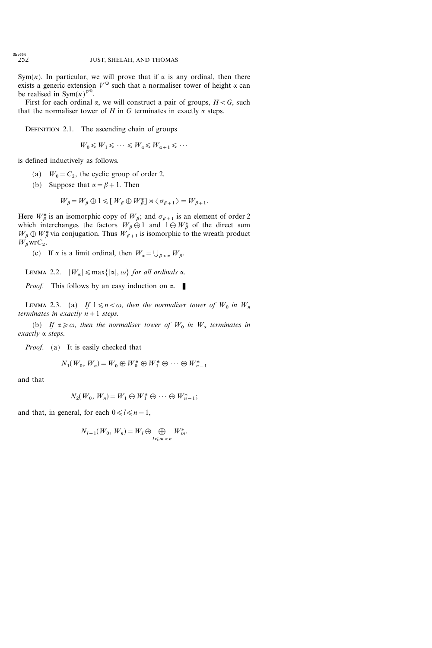Sym( $\kappa$ ). In particular, we will prove that if  $\alpha$  is any ordinal, then there exists a generic extension  $V^{\mathbb{Q}}$  such that a normaliser tower of height  $\alpha$  can be realised in Sym( $\kappa$ )<sup> $V^{\mathbb{Q}}$ </sup>.

First for each ordinal  $\alpha$ , we will construct a pair of groups,  $H < G$ , such that the normaliser tower of H in G terminates in exactly  $\alpha$  steps.

DEFINITION 2.1. The ascending chain of groups

$$
W_0 \leqslant W_1 \leqslant \cdots \leqslant W_{\alpha} \leqslant W_{\alpha+1} \leqslant \cdots
$$

is defined inductively as follows.

- (a)  $W_0 = C_2$ , the cyclic group of order 2.
- (b) Suppose that  $\alpha = \beta + 1$ . Then

$$
W_{\beta} = W_{\beta} \oplus 1 \leq U_{\beta} \oplus W_{\beta}^* \leq 1 \leq \sigma_{\beta+1} \geq W_{\beta+1}.
$$

Here  $W^*_{\beta}$  is an isomorphic copy of  $W_{\beta}$ ; and  $\sigma_{\beta+1}$  is an element of order 2 which interchanges the factors  $W_{\beta} \oplus 1$  and  $1 \oplus W_{\beta}^*$  of the direct sum  $W_{\beta} \oplus W_{\beta}^*$  via conjugation. Thus  $W_{\beta+1}$  is isomorphic to the wreath product  $W_{\beta}$ wr $C_2$ .

(c) If  $\alpha$  is a limit ordinal, then  $W_{\alpha} = \bigcup_{\beta < \alpha} W_{\beta}$ .

LEMMA 2.2.  $|W_{\alpha}| \le \max\{|x|, \omega\}$  for all ordinals  $\alpha$ .

*Proof.* This follows by an easy induction on  $\alpha$ .

LEMMA 2.3. (a) If  $1 \le n < \omega$ , then the normaliser tower of  $W_0$  in  $W_n$ terminates in exactly  $n+1$  steps.

(b) If  $\alpha \geq 0$ , then the normaliser tower of  $W_0$  in  $W_{\alpha}$  terminates in  $\mathit{exactly}$   $\alpha$  steps.

*Proof.* (a) It is easily checked that

$$
N_1(W_0, W_n) = W_0 \oplus W_0^* \oplus W_1^* \oplus \cdots \oplus W_{n-1}^*
$$

and that

$$
N_2(W_0, W_n) = W_1 \oplus W_1^* \oplus \cdots \oplus W_{n-1}^*;
$$

and that, in general, for each  $0 \le l \le n-1$ ,

$$
N_{l+1}(W_0, W_n) = W_l \oplus \bigoplus_{l \leq m < n} W_m^*.
$$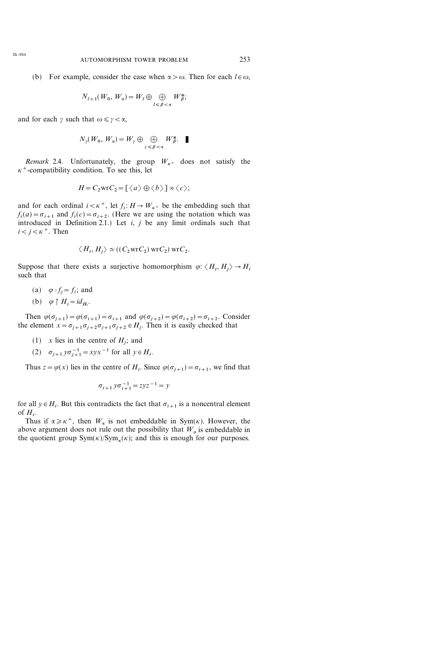$$
N_{l+1}(W_0, W_\alpha) = W_l \oplus \bigoplus_{l \leq \beta < \alpha} W^*_\beta;
$$

and for each  $\gamma$  such that  $\omega \leq \gamma < \alpha$ ,

$$
N_{\gamma}(W_0, W_{\alpha}) = W_{\gamma} \oplus \bigoplus_{\gamma \leq \beta < \alpha} W_{\beta}^*.
$$

Remark 2.4. Unfortunately, the group  $W_{\kappa^+}$  does not satisfy the  $\kappa^+$ -compatibility condition. To see this, let

$$
H = C_2 \text{wr } C_2 = [\langle a \rangle \oplus \langle b \rangle] \rtimes \langle c \rangle;
$$

and for each ordinal  $i < \kappa^+$ , let  $f_i : H \to W_{\kappa^+}$  be the embedding such that  $f_i(a) = \sigma_{i+1}$  and  $f_i(c) = \sigma_{i+2}$ . (Here we are using the notation which was introduced in Definition 2.1.) Let  $i, j$  be any limit ordinals such that  $i < j < \kappa^+$ . Then

$$
\langle H_i, H_j \rangle \simeq ((C_2 \text{wr} C_2) \text{wr} C_2) \text{wr} C_2.
$$

Suppose that there exists a surjective homomorphism  $\varphi$ :  $\langle H_i, H_i \rangle \rightarrow H_i$ such that

- (a)  $\varphi \circ f_i = f_i$ ; and
- (b)  $\varphi \upharpoonright H_i = id_{H_i}.$

Then  $\varphi(\sigma_{i+1})=\varphi(\sigma_{i+1})=\sigma_{i+1}$  and  $\varphi(\sigma_{i+2})=\varphi(\sigma_{i+2})=\sigma_{i+2}$ . Consider the element  $x = \sigma_{j+1}\sigma_{j+2}\sigma_{j+1}\sigma_{j+2} \in H_j$ . Then it is easily checked that

- (1) x lies in the centre of  $H_i$ ; and
- (2)  $\sigma_{j+1} y \sigma_{j+1}^{-1} = xyx^{-1}$  for all  $y \in H_i$ .

Thus  $z=\varphi(x)$  lies in the centre of  $H_i$ . Since  $\varphi(\sigma_{i+1})=\sigma_{i+1}$ , we find that

$$
\sigma_{i+1} y \sigma_{i+1}^{-1} = z y z^{-1} = y
$$

for all  $y \in H_i$ . But this contradicts the fact that  $\sigma_{i+1}$  is a noncentral element of  $H_i$ .

Thus if  $\alpha \geq \kappa^+$ , then  $W_\alpha$  is not embeddable in Sym( $\kappa$ ). However, the above argument does not rule out the possibility that  $W_{\alpha}$  is embeddable in the quotient group  $Sym(K)/Sym_K(K)$ ; and this is enough for our purposes.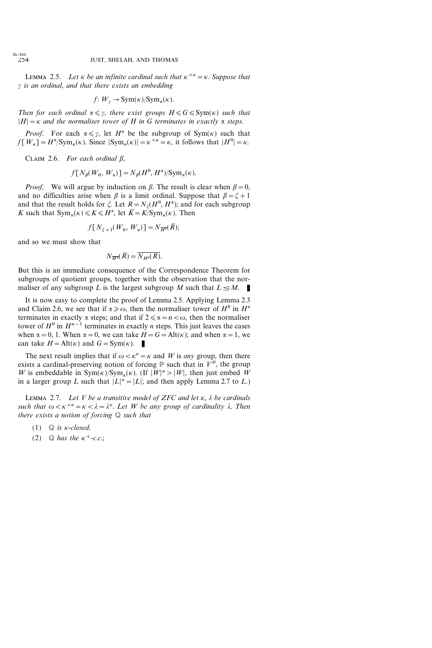LEMMA 2.5. Let  $\kappa$  be an infinite cardinal such that  $\kappa^{<\kappa} = \kappa$ . Suppose that  $\gamma$  is an ordinal, and that there exists an embedding

$$
f: W_{\gamma} \to \text{Sym}(\kappa)/\text{Sym}_{\kappa}(\kappa).
$$

Then for each ordinal  $\alpha \leq \gamma$ , there exist groups  $H \leq G \leq \text{Sym}(\kappa)$  such that  $|H|=\kappa$  and the normaliser tower of H in G terminates in exactly  $\alpha$  steps.

*Proof.* For each  $\alpha \leq \gamma$ , let  $H^{\alpha}$  be the subgroup of Sym( $\kappa$ ) such that  $f[W_{\alpha}] = H^{\alpha}/\text{Sym}_{\kappa}(\kappa)$ . Since  $|\text{Sym}_{\kappa}(\kappa)| = \kappa^{<\kappa} = \kappa$ , it follows that  $|H^0| = \kappa$ .

CLAIM 2.6. For each ordinal  $\beta$ ,

$$
f[N_{\beta}(W_0, W_{\alpha})] = N_{\beta}(H^0, H^{\alpha})/\text{Sym}_{\kappa}(\kappa).
$$

*Proof.* We will argue by induction on  $\beta$ . The result is clear when  $\beta = 0$ , and no difficulties arise when  $\beta$  is a limit ordinal. Suppose that  $\beta = \xi + 1$ and that the result holds for  $\xi$ . Let  $R = N_{\xi}(H^0, H^{\alpha})$ ; and for each subgroup K such that  $Sym_{\kappa}(\kappa) \leq K \leq H^{\alpha}$ , let  $\overline{K} = K/Sym_{\kappa}(\kappa)$ . Then

$$
f[N_{\xi+1}(W_0, W_{\alpha})] = N_{\overline{H^{\alpha}}}(\overline{R});
$$

and so we must show that

$$
N_{\overline{H^{\alpha}}}(\overline{R}) = \overline{N_{H^{\alpha}}(R)}.
$$

But this is an immediate consequence of the Correspondence Theorem for subgroups of quotient groups, together with the observation that the normaliser of any subgroup L is the largest subgroup M such that  $L \leq M$ .

It is now easy to complete the proof of Lemma 2.5. Applying Lemma 2.3 and Claim 2.6, we see that if  $\alpha \geq \omega$ , then the normaliser tower of  $H^0$  in  $H^{\alpha}$ terminates in exactly  $\alpha$  steps; and that if  $2 \le \alpha = n < \omega$ , then the normaliser tower of  $H^0$  in  $H^{n-1}$  terminates in exactly *n* steps. This just leaves the cases when  $\alpha = 0$ , 1. When  $\alpha = 0$ , we can take  $H = G = \text{Alt}(\kappa)$ ; and when  $\alpha = 1$ , we can take  $H = \text{Alt}(\kappa)$  and  $G = \text{Sym}(\kappa)$ .

The next result implies that if  $\omega < \kappa^* = \kappa$  and W is any group, then there exists a cardinal-preserving notion of forcing  $\mathbb P$  such that in  $V^{\mathbb P}$ , the group W is embeddable in  $Sym(K)/Sym_K(K)$ . (If  $|W|<sup>K</sup> > |W|$ , then just embed W in a larger group L such that  $|L|^{k} = |L|$ ; and then apply Lemma 2.7 to L.)

LEMMA 2.7. Let V be a transitive model of ZFC and let  $\kappa$ ,  $\lambda$  be cardinals such that  $\omega < \kappa < \lambda < \lambda = \lambda^{\kappa}$ . Let W be any group of cardinality  $\lambda$ . Then there exists a notion of forcing  $Q$  such that

- (1)  $\qquad \qquad \mathbb{Q}$  is *k*-closed.
- (2)  $\qquad \qquad \mathbb{Q}$  has the  $\kappa^+$ -c.c.;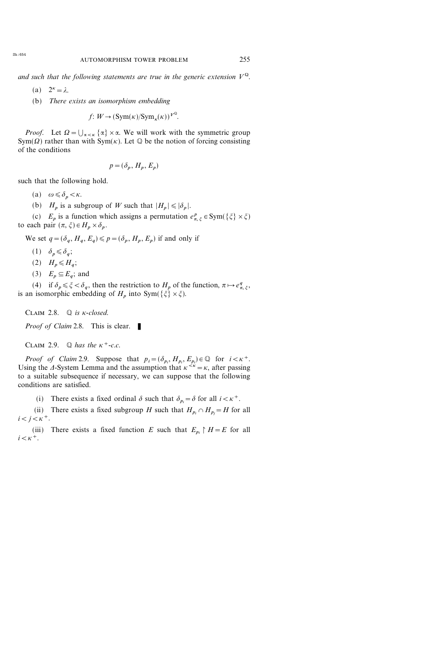- (a)  $2^{\kappa} = \lambda$ .
- (b) There exists an isomorphism embedding

 $f: W \to (\text{Sym}(\kappa)/\text{Sym}_{\kappa}(\kappa))^{V^{\mathbb{Q}}}.$ 

*Proof.* Let  $\Omega = \bigcup_{\alpha < \kappa} {\alpha} \times \alpha$ . We will work with the symmetric group Sym( $\Omega$ ) rather than with Sym( $\kappa$ ). Let  $\mathbb Q$  be the notion of forcing consisting of the conditions

$$
p = (\delta_p, H_p, E_p)
$$

such that the following hold.

(a)  $\omega \leq \delta_p \lt \kappa$ .

(b)  $H_p$  is a subgroup of W such that  $|H_p| \leq \delta_p$ .

(c)  $E_p$  is a function which assigns a permutation  $e_{\pi, \xi}^p \in \text{Sym}(\{\xi\} \times \xi)$ to each pair  $(\pi, \xi) \in H_p \times \delta_p$ .

We set  $q=(\delta_q, H_q, E_q)\leqslant p=(\delta_p, H_p, E_p)$  if and only if

- $(1)$   $\delta_n \leq \delta_d$ ;
- $(2)$   $H_n \leq H_a$ ;
- (3)  $E_n \subseteq E_a$ ; and

(4) if  $\delta_p \leq \xi < \delta_q$ , then the restriction to  $H_p$  of the function,  $\pi \mapsto e^q_{\pi, \xi}$ , is an isomorphic embedding of  $H_p$  into Sym( $\{\xi\} \times \xi$ ).

CLAIM 2.8.  $\mathbb{Q}$  is *k*-closed.

*Proof of Claim* 2.8. This is clear.

CLAIM 2.9.  $\mathbb Q$  has the  $\kappa^+$ -c.c.

*Proof of Claim* 2.9. Suppose that  $p_i = (\delta_{p_i}, H_{p_i}, E_{p_i}) \in \mathbb{Q}$  for  $i < \kappa^+$ . Using the 4-System Lemma and the assumption that  $\kappa^{<\kappa} = \kappa$ , after passing to a suitable subsequence if necessary, we can suppose that the following conditions are satisfied.

(i) There exists a fixed ordinal  $\delta$  such that  $\delta_{p_i} = \delta$  for all  $i < \kappa^+$ .

(ii) There exists a fixed subgroup H such that  $H_{p_i} \cap H_{p_j} = H$  for all  $i < j < \kappa^+$ .

(iii) There exists a fixed function E such that  $E_{p_i} \upharpoonright H=E$  for all  $i<\kappa^+$ .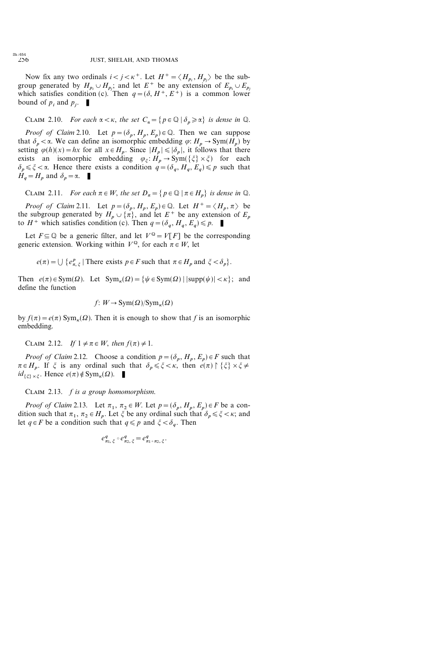Now fix any two ordinals  $i < j < \kappa^+$ . Let  $H^+ = \langle H_{p_i}, H_{p_j} \rangle$  be the subgroup generated by  $H_{p_i} \cup H_{p_j}$ ; and let  $E^+$  be any extension of  $E_{p_i} \cup E_{p_j}$ which satisfies condition (c). Then  $q=(\delta, H^+, E^+)$  is a common lower bound of  $p_i$  and  $p_i$ .

CLAIM 2.10. For each  $\alpha < \kappa$ , the set  $C_{\alpha} = \{p \in \mathbb{Q} \mid \delta_p \ge \alpha\}$  is dense in  $\mathbb{Q}$ .

*Proof of Claim* 2.10. Let  $p = (\delta_p, H_p, E_p) \in \mathbb{Q}$ . Then we can suppose that  $\delta_p < \alpha$ . We can define an isomorphic embedding  $\varphi: H_p \to \text{Sym}(H_p)$  by setting  $\varphi(h)(x) = hx$  for all  $x \in H_p$ . Since  $|H_p| \leq |\delta_p|$ , it follows that there exists an isomorphic embedding  $\varphi_{\xi}: H_p \to \text{Sym}(\{\xi\} \times \xi)$  for each  $\delta_p \leq \xi < \alpha$ . Hence there exists a condition  $q = (\delta_q, H_q, E_q) \leq p$  such that  $H_q = H_p$  and  $\delta_p = \alpha$ .

CLAIM 2.11. For each  $\pi \in W$ , the set  $D_{\pi} = \{ p \in \mathbb{Q} \mid \pi \in H_p \}$  is dense in  $\mathbb{Q}$ .

*Proof of Claim* 2.11. Let  $p = (\delta_p, H_p, E_p) \in \mathbb{Q}$ . Let  $H^+ = \langle H_p, \pi \rangle$  be the subgroup generated by  $H_p \cup \{\pi\}$ , and let  $E^+$  be any extension of  $E_p$ to  $H^+$  which satisfies condition (c). Then  $q = (\delta_q, H_q, E_q) \leq p$ .

Let  $F \subseteq \mathbb{Q}$  be a generic filter, and let  $V^{\mathbb{Q}} = V[F]$  be the corresponding generic extension. Working within  $V^{\mathbb{Q}}$ , for each  $\pi \in W$ , let

 $e(\pi) = \bigcup \{e_{\pi,\xi}^p | \text{There exists } p \in F \text{ such that } \pi \in H_p \text{ and } \xi < \delta_p \}.$ 

Then  $e(\pi) \in \text{Sym}(\Omega)$ . Let  $\text{Sym}_k(\Omega) = \{ \psi \in \text{Sym}(\Omega) \mid |\text{supp}(\psi)| < \kappa \}$ ; and define the function

$$
f: W \to \mathrm{Sym}(\Omega)/\mathrm{Sym}_\kappa(\Omega)
$$

by  $f(\pi)=e(\pi)$  Sym<sub>k</sub>( $\Omega$ ). Then it is enough to show that f is an isomorphic embedding.

CLAIM 2.12. If  $1 \neq \pi \in W$ , then  $f(\pi) \neq 1$ .

*Proof of Claim* 2.12. Choose a condition  $p = (\delta_p, H_p, E_p) \in F$  such that  $\pi \in H_p$ . If  $\xi$  is any ordinal such that  $\delta_p \leq \xi < \kappa$ , then  $e(\pi) \upharpoonright {\xi} \times \xi \neq$  $id_{\{\xi\}\times \xi}$ . Hence  $e(\pi) \notin \text{Sym}_{\kappa}(\Omega)$ .

CLAIM 2.13.  $f$  is a group homomorphism.

*Proof of Claim* 2.13. Let  $\pi_1$ ,  $\pi_2 \in W$ . Let  $p = (\delta_p, H_p, E_p) \in F$  be a condition such that  $\pi_1$ ,  $\pi_2 \in H_p$ . Let  $\xi$  be any ordinal such that  $\delta_p \leq \xi \leq \kappa$ ; and let  $q \in F$  be a condition such that  $q \leq p$  and  $\zeta < \delta_q$ . Then

$$
e^q_{\pi_1,\,\xi}\circ e^q_{\pi_2,\,\xi}=e^q_{\pi_1\circ\pi_2,\,\xi}.
$$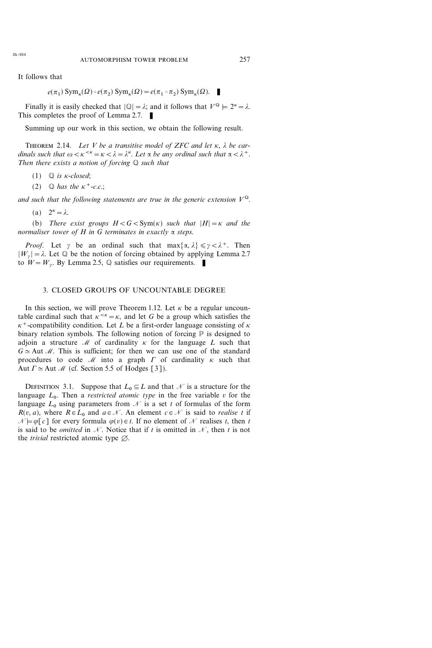It follows that

$$
e(\pi_1) \operatorname{Sym}_{\kappa}(\Omega) \circ e(\pi_2) \operatorname{Sym}_{\kappa}(\Omega) = e(\pi_1 \circ \pi_2) \operatorname{Sym}_{\kappa}(\Omega).
$$

Finally it is easily checked that  $|\mathbb{Q}| = \lambda$ ; and it follows that  $V^{\mathbb{Q}} \models 2^{\kappa} = \lambda$ . This completes the proof of Lemma 2.7.  $\blacksquare$ 

Summing up our work in this section, we obtain the following result.

THEOREM 2.14. Let V be a transitive model of ZFC and let  $\kappa$ ,  $\lambda$  be cardinals such that  $\omega < \kappa < \kappa = \kappa < \lambda = \lambda^{\kappa}$ . Let  $\alpha$  be any ordinal such that  $\alpha < \lambda^{+}$ . Then there exists a notion of forcing  $Q$  such that

- (1)  $\mathbb{Q}$  is *k*-closed;
- (2)  $\qquad$  has the  $\kappa^+$ -c.c.;

and such that the following statements are true in the generic extension  $V^{\mathbb{Q}}$ .

(a)  $2^{\kappa} = \lambda$ .

(b) There exist groups  $H < G < Sym(\kappa)$  such that  $|H| = \kappa$  and the normaliser tower of  $H$  in  $G$  terminates in exactly  $\alpha$  steps.

*Proof.* Let  $\gamma$  be an ordinal such that  $\max{\alpha, \lambda} \leq \gamma < \lambda^+$ . Then  $|W_{\nu}| = \lambda$ . Let  $\mathbb Q$  be the notion of forcing obtained by applying Lemma 2.7 to  $W = W_v$ . By Lemma 2.5,  $\mathbb Q$  satisfies our requirements.

#### 3. CLOSED GROUPS OF UNCOUNTABLE DEGREE

In this section, we will prove Theorem 1.12. Let  $\kappa$  be a regular uncountable cardinal such that  $\kappa^{<\kappa} = \kappa$ , and let G be a group which satisfies the  $\kappa^+$ -compatibility condition. Let L be a first-order language consisting of  $\kappa$ binary relation symbols. The following notion of forcing  $P$  is designed to adjoin a structure  $\mathcal M$  of cardinality  $\kappa$  for the language  $L$  such that  $G \simeq$  Aut M. This is sufficient; for then we can use one of the standard procedures to code  $\mathcal M$  into a graph  $\Gamma$  of cardinality  $\kappa$  such that Aut  $\Gamma \simeq$  Aut *M* (cf. Section 5.5 of Hodges [3]).

DEFINITION 3.1. Suppose that  $L_0 \subseteq L$  and that N is a structure for the language  $L_0$ . Then a *restricted atomic type* in the free variable v for the language  $L_0$  using parameters from  $\mathcal N$  is a set t of formulas of the form  $R(v, a)$ , where  $R \in L_0$  and  $a \in \mathcal{N}$ . An element  $c \in \mathcal{N}$  is said to *realise t* if  $\mathcal{N} \models \varphi[\![c]\!]$  for every formula  $\varphi(v) \in t$ . If no element of N realises t, then t is said to be *omitted* in N. Notice that if t is omitted in N, then t is not the *trivial* restricted atomic type  $\emptyset$ .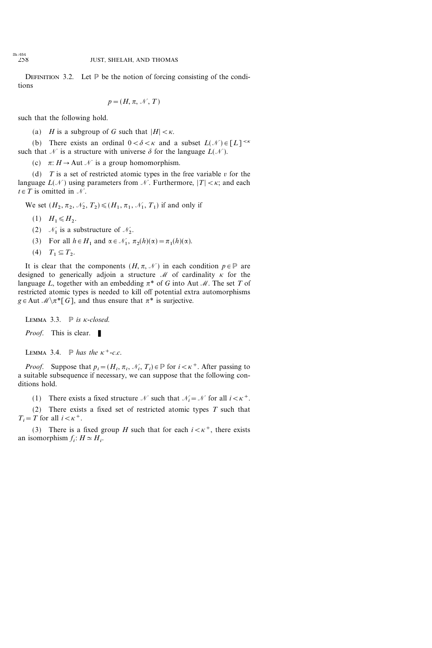DEFINITION 3.2. Let  $\mathbb P$  be the notion of forcing consisting of the conditions

$$
p = (H, \pi, \mathcal{N}, T)
$$

such that the following hold.

(a) *H* is a subgroup of *G* such that  $|H| < \kappa$ .

(b) There exists an ordinal  $0 < \delta < \kappa$  and a subset  $L(\mathcal{N}) \in [L]^{<\kappa}$ such that  $\mathcal N$  is a structure with universe  $\delta$  for the language  $L(\mathcal N)$ .

(c)  $\pi: H \to \text{Aut } \mathcal{N}$  is a group homomorphism.

(d)  $T$  is a set of restricted atomic types in the free variable  $v$  for the language  $L(\mathcal{N})$  using parameters from  $\mathcal{N}$ . Furthermore,  $|T| < \kappa$ ; and each  $t \in T$  is omitted in N.

We set  $(H_2, \pi_2, \mathcal{N}_2, T_2) \leq (H_1, \pi_1, \mathcal{N}_1, T_1)$  if and only if

- $(1)$   $H_1 \leq H_2$ .
- (2)  $\mathcal{N}_1$  is a substructure of  $\mathcal{N}_2$ .
- (3) For all  $h \in H_1$  and  $\alpha \in \mathcal{N}_1$ ,  $\pi_2(h)(\alpha) = \pi_1(h)(\alpha)$ .
- $(4)$   $T_1 \subseteq T_2$ .

It is clear that the components  $(H, \pi, \mathcal{N})$  in each condition  $p \in \mathbb{P}$  are designed to generically adjoin a structure  $\mathcal M$  of cardinality  $\kappa$  for the language L, together with an embedding  $\pi^*$  of G into Aut M. The set T of restricted atomic types is needed to kill off potential extra automorphisms  $g \in$ Aut  $\mathcal{M} \setminus \pi^*$ [G], and thus ensure that  $\pi^*$  is surjective.

LEMMA 3.3.  $\mathbb{P}$  is *k*-closed. *Proof.* This is clear.  $\blacksquare$ 

LEMMA 3.4.  $\mathbb{P}$  has the  $\kappa^+$ -c.c.

*Proof.* Suppose that  $p_i = (H_i, \pi_i, \mathcal{N}_i, T_i) \in \mathbb{P}$  for  $i < \kappa^+$ . After passing to a suitable subsequence if necessary, we can suppose that the following conditions hold.

(1) There exists a fixed structure N such that  $\mathcal{N}_i = \mathcal{N}$  for all  $i < \kappa^+$ .

(2) There exists a fixed set of restricted atomic types  $T$  such that  $T_i = T$  for all  $i < \kappa^+$ .

(3) There is a fixed group H such that for each  $i < \kappa^+$ , there exists an isomorphism  $f_i$ :  $H \simeq H_i$ .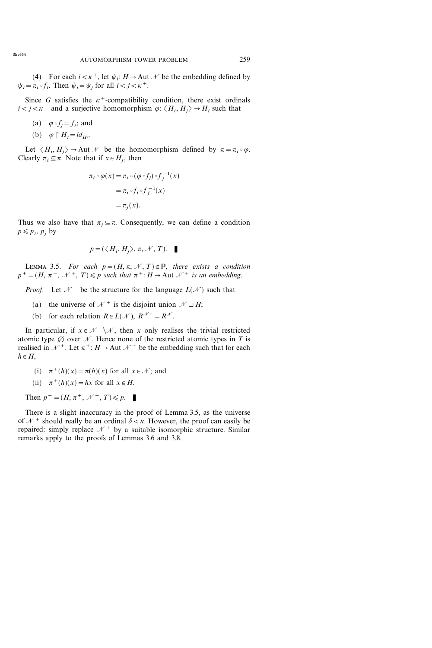(4) For each  $i < \kappa^+$ , let  $\psi_i : H \to \text{Aut } \mathcal{N}$  be the embedding defined by  $\psi_i = \pi_i \circ f_i$ . Then  $\psi_i = \psi_i$  for all  $i < j < \kappa^+$ .

Since G satisfies the  $\kappa^+$ -compatibility condition, there exist ordinals  $i < j < \kappa^+$  and a surjective homomorphism  $\varphi$ :  $\langle H_i, H_j \rangle \rightarrow H_i$  such that

(a)  $\varphi \circ f_i = f_i$ ; and

(b) 
$$
\varphi \upharpoonright H_i = id_{H_i}
$$
.

Let  $\langle H_i, H_j \rangle \rightarrow$  Aut  $\mathcal N$  be the homomorphism defined by  $\pi = \pi_i \circ \varphi$ . Clearly  $\pi_i \subseteq \pi$ . Note that if  $x \in H_i$ , then

$$
\pi_i \circ \varphi(x) = \pi_i \circ (\varphi \circ f_j) \circ f_j^{-1}(x)
$$

$$
= \pi_i \circ f_i \circ f_j^{-1}(x)
$$

$$
= \pi_j(x).
$$

Thus we also have that  $\pi_i \subseteq \pi$ . Consequently, we can define a condition  $p \leqslant p_i$ ,  $p_j$  by

$$
p = (\langle H_i, H_j \rangle, \pi, \mathcal{N}, T).
$$

LEMMA 3.5. For each  $p=(H, \pi, \mathcal{N}, T) \in \mathbb{P}$ , there exists a condition  $p^+ = (H, \pi^+, \mathcal{N}^+, T) \leq p$  such that  $\pi^+ : H \to$  Aut  $\mathcal{N}^+$  is an embedding.

*Proof.* Let  $\mathcal{N}^+$  be the structure for the language  $L(\mathcal{N})$  such that

- (a) the universe of  $\mathcal{N}^+$  is the disjoint union  $\mathcal{N} \sqcup H$ ;
- (b) for each relation  $R \in L(\mathcal{N}), R^{\mathcal{N}^+} = R^{\mathcal{N}}.$

In particular, if  $x \in \mathcal{N}^+ \setminus \mathcal{N}$ , then x only realises the trivial restricted atomic type  $\emptyset$  over N. Hence none of the restricted atomic types in T is realised in  $\mathcal{N}^+$ . Let  $\pi^+$ :  $H \to$  Aut  $\mathcal{N}^+$  be the embedding such that for each  $h \in H$ ,

(i) 
$$
\pi^+(h)(x) = \pi(h)(x)
$$
 for all  $x \in \mathcal{N}$ ; and

(ii) 
$$
\pi^+(h)(x) = hx
$$
 for all  $x \in H$ .

Then  $p^+ = (H, \pi^+, \mathcal{N}^+, T) \leq p$ .

There is a slight inaccuracy in the proof of Lemma 3.5, as the universe of  $\mathcal{N}^+$  should really be an ordinal  $\delta < \kappa$ . However, the proof can easily be repaired: simply replace  $\mathcal{N}^+$  by a suitable isomorphic structure. Similar remarks apply to the proofs of Lemmas 3.6 and 3.8.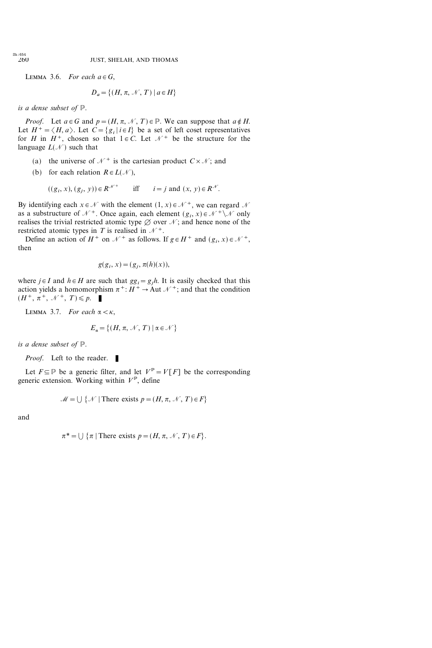LEMMA 3.6. For each  $a \in G$ ,

$$
D_a = \{(H, \pi, \mathcal{N}, T) \mid a \in H\}
$$

is a dense subset of P.

*Proof.* Let  $a \in G$  and  $p = (H, \pi, \mathcal{N}, T) \in \mathbb{P}$ . We can suppose that  $a \notin H$ . Let  $H^+ = \langle H, a \rangle$ . Let  $C = \{g_i | i \in I\}$  be a set of left coset representatives for H in  $H^+$ , chosen so that  $1 \in C$ . Let  $\mathcal{N}^+$  be the structure for the language  $L(\mathcal{N})$  such that

- (a) the universe of  $\mathcal{N}^+$  is the cartesian product  $C \times \mathcal{N}$ ; and
- (b) for each relation  $R \in L(\mathcal{N})$ ,

 $((g_i, x), (g_j, y)) \in R^{\mathcal{N}^+}$  iff  $i = j$  and  $(x, y) \in R^{\mathcal{N}}$ .

By identifying each  $x \in \mathcal{N}$  with the element  $(1, x) \in \mathcal{N}^+$ , we can regard  $\mathcal{N}$ as a substructure of  $\mathcal{N}^+$ . Once again, each element  $(g_i, x) \in \mathcal{N}^+ \setminus \mathcal{N}$  only realises the trivial restricted atomic type  $\emptyset$  over  $\mathcal{N}$ ; and hence none of the restricted atomic types in T is realised in  $\mathcal{N}^+$ .

Define an action of  $H^+$  on  $\mathcal{N}^+$  as follows. If  $g \in H^+$  and  $(g_i, x) \in \mathcal{N}^+$ , then

$$
g(g_i, x) = (g_j, \pi(h)(x)),
$$

where  $j \in I$  and  $h \in H$  are such that  $gg_j = g_j h$ . It is easily checked that this action yields a homomorphism  $\pi^+$ :  $H^+ \rightarrow$  Aut  $\mathcal{N}^+$ ; and that the condition  $(H^+, \pi^+, \mathcal{N}^+, T) \leqslant p.$ 

LEMMA 3.7. For each  $\alpha < \kappa$ ,

$$
E_{\alpha} = \{(H, \pi, \mathcal{N}, T) \, | \, \alpha \in \mathcal{N}\}
$$

is a dense subset of P.

Proof. Left to the reader.

Let  $F \subseteq \mathbb{P}$  be a generic filter, and let  $V^{\mathbb{P}} = V[F]$  be the corresponding generic extension. Working within  $V^{\mathbb{P}}$ , define

$$
\mathcal{M} = \bigcup \{ \mathcal{N} \mid \text{There exists } p = (H, \pi, \mathcal{N}, T) \in F \}
$$

and

$$
\pi^* = \bigcup \{\pi \mid \text{There exists } p = (H, \pi, \mathcal{N}, T) \in F\}.
$$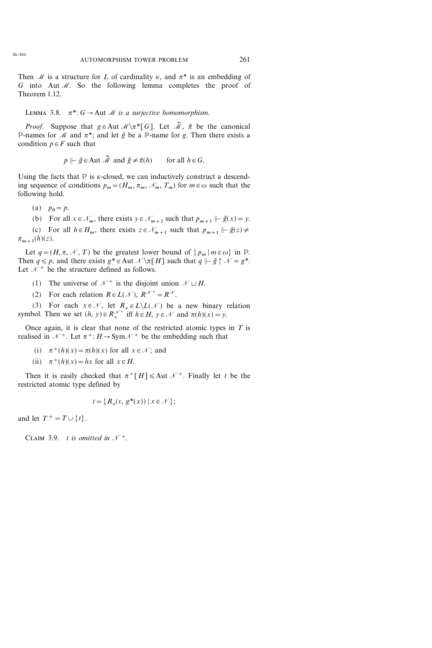Then M is a structure for L of cardinality  $\kappa$ , and  $\pi^*$  is an embedding of G into Aut  $M$ . So the following lemma completes the proof of Theorem 1.12.

LEMMA 3.8.  $\pi^*$ :  $G \rightarrow$  Aut *M* is a surjective homomorphism.

*Proof.* Suppose that  $g \in Aut \mathcal{M} \setminus \pi^*[G]$ . Let  $\tilde{\mathcal{M}}$ ,  $\tilde{\pi}$  be the canonical P-names for M and  $\pi^*$ ; and let  $\tilde{g}$  be a P-name for g. Then there exists a condition  $p \in F$  such that

$$
p \Vdash \tilde{g} \in
$$
Aut  $\tilde{M}$  and  $\tilde{g} \neq \tilde{\pi}(h)$  for all  $h \in G$ .

Using the facts that  $\mathbb P$  is *k*-closed, we can inductively construct a descending sequence of conditions  $p_m = (H_m, \pi_m, \mathcal{N}_m, T_m)$  for  $m \in \omega$  such that the following hold.

- (a)  $p_0 = p$ .
- (b) For all  $x \in \mathcal{N}_m$ , there exists  $y \in \mathcal{N}_{m+1}$  such that  $p_{m+1} \models \tilde{g}(x) = y$ .

(c) For all  $h \in H_m$ , there exists  $z \in \mathcal{N}_{m+1}$  such that  $p_{m+1} \models \tilde{g}(z) \neq$  $\pi_{m+1}(h)(z)$ .

Let  $q=(H, \pi, \mathcal{N}, T)$  be the greatest lower bound of  $\{p_m | m \in \omega\}$  in  $\mathbb{P}$ . Then  $q \leq p$ , and there exists  $g^* \in$  Aut  $\mathcal{N} \setminus \pi[H]$  such that  $q \Vdash \tilde{g} \upharpoonright \mathcal{N} = g^*$ . Let  $\mathcal{N}^+$  be the structure defined as follows.

- (1) The universe of  $\mathcal{N}^+$  is the disjoint union  $\mathcal{N} \sqcup H$ .
- (2) For each relation  $R \in L(\mathcal{N})$ ,  $R^{\mathcal{N}^+} = R^{\mathcal{N}}$ .

(3) For each  $x \in \mathcal{N}$ , let  $R_x \in L \backslash L(\mathcal{N})$  be a new binary relation symbol. Then we set  $(h, y) \in R_x^{\mathcal{N}^+}$  iff  $h \in H$ ,  $y \in \mathcal{N}$  and  $\pi(h)(x) = y$ .

Once again, it is clear that none of the restricted atomic types in  $T$  is realised in  $\mathcal{N}^+$ . Let  $\pi^+$ :  $H \rightarrow Sym\mathcal{N}^+$  be the embedding such that

(i) 
$$
\pi^+(h)(x) = \pi(h)(x)
$$
 for all  $x \in \mathcal{N}$ ; and

(ii)  $\pi^+(h)(x) = hx$  for all  $x \in H$ .

Then it is easily checked that  $\pi^+ [H] \leq$  Aut  $\mathcal{N}^+$ . Finally let t be the restricted atomic type defined by

$$
t = \{ R_x(v, g^*(x)) \mid x \in \mathcal{N} \};
$$

and let  $T^+ = T \cup \{t\}.$ 

CLAIM 3.9. t is omitted in  $\mathcal{N}^+$ .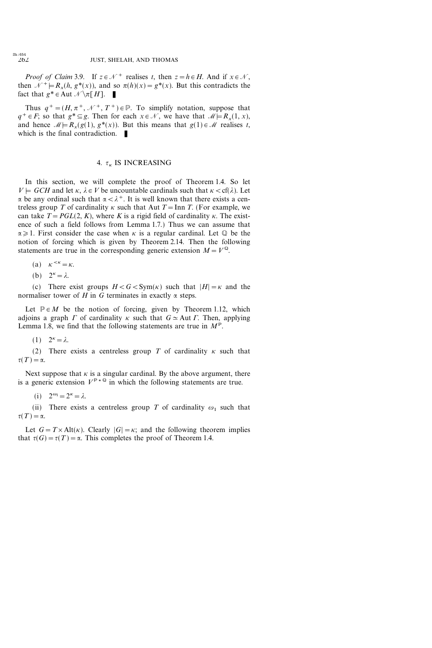*Proof of Claim* 3.9. If  $z \in \mathcal{N}^+$  realises t, then  $z = h \in H$ . And if  $x \in \mathcal{N}$ , then  $\mathcal{N}^+ \models R_x(h, g^*(x))$ , and so  $\pi(h)(x) = g^*(x)$ . But this contradicts the fact that  $g^* \in$  Aut  $\mathcal{N} \setminus \pi[H]$ .

Thus  $q^+ = (H, \pi^+, \mathcal{N}^+, T^+) \in \mathbb{P}$ . To simplify notation, suppose that  $q^+ \in F$ ; so that  $g^* \subseteq g$ . Then for each  $x \in \mathcal{N}$ , we have that  $\mathcal{M} \models R_x(1, x)$ , and hence  $\mathcal{M} \models R_{r}(g(1), g^{*}(x))$ . But this means that  $g(1) \in \mathcal{M}$  realises t, which is the final contradiction.  $\blacksquare$ 

### 4.  $\tau_{\kappa}$  IS INCREASING

In this section, we will complete the proof of Theorem 1.4. So let  $V \models GCH$  and let  $\kappa, \lambda \in V$  be uncountable cardinals such that  $\kappa < \text{cf}(\lambda)$ . Let  $\alpha$  be any ordinal such that  $\alpha < \lambda^+$ . It is well known that there exists a centreless group T of cardinality  $\kappa$  such that Aut T = Inn T. (For example, we can take  $T = PGL(2, K)$ , where K is a rigid field of cardinality  $\kappa$ . The existence of such a field follows from Lemma 1.7.) Thus we can assume that  $\alpha \geq 1$ . First consider the case when  $\kappa$  is a regular cardinal. Let  $\mathbb Q$  be the notion of forcing which is given by Theorem 2.14. Then the following statements are true in the corresponding generic extension  $M=V^{\mathbb{Q}}$ .

(a) 
$$
\kappa^{<\kappa} = \kappa.
$$

(b) 
$$
2^{\kappa} = \lambda
$$
.

(c) There exist groups  $H < G < \text{Sym}(\kappa)$  such that  $|H| = \kappa$  and the normaliser tower of H in G terminates in exactly  $\alpha$  steps.

Let  $P \in M$  be the notion of forcing, given by Theorem 1.12, which adjoins a graph  $\Gamma$  of cardinality  $\kappa$  such that  $G \simeq$  Aut  $\Gamma$ . Then, applying Lemma 1.8, we find that the following statements are true in  $M^{\mathbb{P}}$ .

 $(1)$   $2^{\kappa} = \lambda$ .

(2) There exists a centreless group T of cardinality  $\kappa$  such that  $\tau(T)=\alpha$ .

Next suppose that  $\kappa$  is a singular cardinal. By the above argument, there is a generic extension  $V^{p*Q}$  in which the following statements are true.

(i)  $2^{\omega_1} = 2^{\kappa} = \lambda$ .

(ii) There exists a centreless group T of cardinality  $\omega_1$  such that  $\tau(T)=\alpha$ .

Let  $G = T \times Alt(\kappa)$ . Clearly  $|G| = \kappa$ ; and the following theorem implies that  $\tau(G) = \tau(T) = \alpha$ . This completes the proof of Theorem 1.4.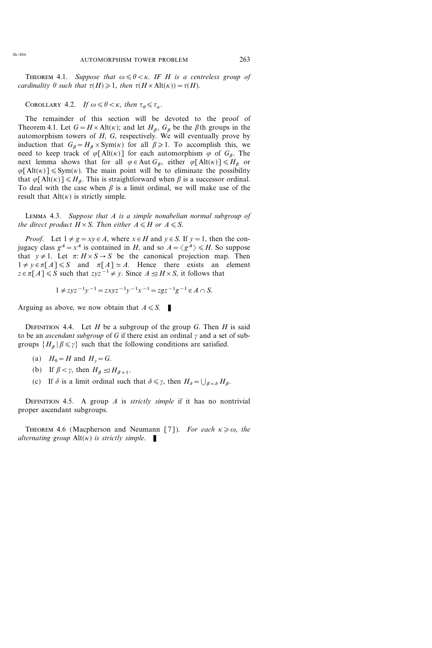THEOREM 4.1. Suppose that  $\omega \le \theta \le \kappa$ . IF H is a centreless group of cardinality  $\theta$  such that  ${\tau(H)\geq 1}$ , then  ${\tau(H\times \mathrm{Alt}(\kappa))=\tau(H)}$ .

COROLLARY 4.2. If  $\omega \le \theta \le \kappa$ , then  ${\tau}_{\theta} \le {\tau}_{\kappa}$ .

The remainder of this section will be devoted to the proof of Theorem 4.1. Let  $G = H \times Alt(\kappa)$ ; and let  $H_\beta$ ,  $G_\beta$  be the  $\beta$ th groups in the automorphism towers of  $H$ ,  $G$ , respectively. We will eventually prove by induction that  $G_{\beta} = H_{\beta} \times \text{Sym}(\kappa)$  for all  $\beta \geq 1$ . To accomplish this, we need to keep track of  $\varphi[\text{Alt}(\kappa)]$  for each automorphism  $\varphi$  of  $G_{\beta}$ . The next lemma shows that for all  $\varphi \in \text{Aut } G_{\beta}$ , either  $\varphi [\text{Alt}(\kappa)] \leq H_{\beta}$  or  $\varphi[\text{Alt}(\kappa)] \leq \text{Sym}(\kappa)$ . The main point will be to eliminate the possibility that  $\varphi[\text{Alt}(\kappa)] \leq H_{\beta}$ . This is straightforward when  $\beta$  is a successor ordinal. To deal with the case when  $\beta$  is a limit ordinal, we will make use of the result that  $Alt(K)$  is strictly simple.

Lemma 4.3. Suppose that A is a simple nonabelian normal subgroup of the direct product  $H \times S$ . Then either  $A \le H$  or  $A \le S$ .

*Proof.* Let  $1 \neq g = xy \in A$ , where  $x \in H$  and  $y \in S$ . If  $y = 1$ , then the conjugacy class  $g^A = x^A$  is contained in H, and so  $A = \langle g^A \rangle \le H$ . So suppose that  $y \neq 1$ . Let  $\pi: H \times S \to S$  be the canonical projection map. Then  $1 \neq y \in \pi[A] \leq S$  and  $\pi[A] \simeq A$ . Hence there exists an element  $z \in \pi[A] \le S$  such that  $zyz^{-1} \neq y$ . Since  $A \leq H \times S$ , it follows that

$$
1 \neq zyz^{-1}y^{-1} = zxyz^{-1}y^{-1}x^{-1} = zgz^{-1}g^{-1} \in A \cap S.
$$

Arguing as above, we now obtain that  $A \le S$ .

DEFINITION 4.4. Let H be a subgroup of the group G. Then H is said to be an *ascendant subgroup* of G if there exist an ordinal  $\gamma$  and a set of subgroups  $\{H_{\beta} | \beta \leq \gamma\}$  such that the following conditions are satisfied.

- (a)  $H_0 = H$  and  $H_y = G$ .
- (b) If  $\beta < \gamma$ , then  $H_{\beta} \leq H_{\beta+1}$ .
- (c) If  $\delta$  is a limit ordinal such that  $\delta \leq \gamma$ , then  $H_{\delta} = \bigcup_{\beta < \delta} H_{\beta}$ .

DEFINITION 4.5. A group A is *strictly simple* if it has no nontrivial proper ascendant subgroups.

THEOREM 4.6 (Macpherson and Neumann [7]). For each  $\kappa \geq \omega$ , the alternating group  $Alt(\kappa)$  is strictly simple.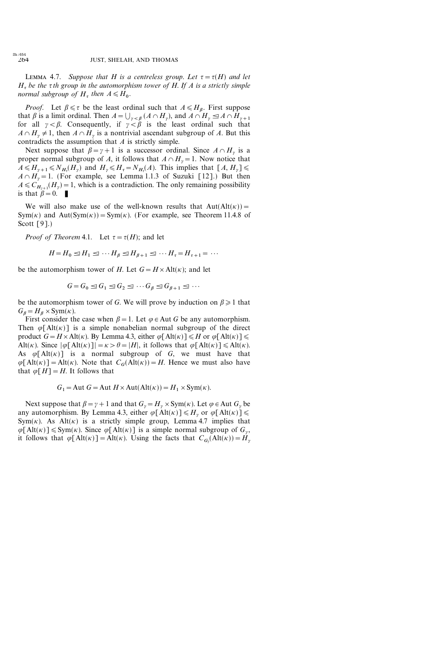LEMMA 4.7. Suppose that H is a centreless group. Let  $\tau = \tau(H)$  and let  $H_{\tau}$  be the  $\tau$ th group in the automorphism tower of H. If A is a strictly simple normal subgroup of  $H$ , then  $A \le H_0$ .

*Proof.* Let  $\beta \le \tau$  be the least ordinal such that  $A \le H_{\beta}$ . First suppose that  $\beta$  is a limit ordinal. Then  $A = \bigcup_{\gamma < \beta} (A \cap H_{\gamma})$ , and  $A \cap H_{\gamma} \leq A \cap H_{\gamma+1}$ for all  $\gamma < \beta$ . Consequently, if  $\gamma < \beta$  is the least ordinal such that  $A \cap H$ <sub>v</sub>  $\neq$  1, then  $A \cap H$ <sub>v</sub> is a nontrivial ascendant subgroup of A. But this contradicts the assumption that A is strictly simple.

Next suppose that  $\beta = \gamma + 1$  is a successor ordinal. Since  $A \cap H_{\gamma}$  is a proper normal subgroup of A, it follows that  $A \cap H_{\nu} = 1$ . Now notice that  $A \le H_{\gamma+1} \le N_{H_{\tau}}(H_{\gamma})$  and  $H_{\gamma} \le H_{\tau} = N_{H_{\tau}}(A)$ . This implies that  $[A, H_{\gamma}] \le$  $A \cap H$ <sub>v</sub> = 1. (For example, see Lemma 1.1.3 of Suzuki [12].) But then  $A \leq C_{H_{n+1}}(H_n) = 1$ , which is a contradiction. The only remaining possibility is that  $\beta=0$ .

We will also make use of the well-known results that  $Aut(Alt(\kappa))=$ Sym( $\kappa$ ) and Aut(Sym( $\kappa$ )) = Sym( $\kappa$ ). (For example, see Theorem 11.4.8 of Scott [9].)

*Proof of Theorem* 4.1. Let  $\tau = \tau(H)$ ; and let

 $H=H_0 \trianglelefteq H_1 \trianglelefteq \cdots H_{\beta} \trianglelefteq H_{\beta+1} \trianglelefteq \cdots H_{\tau}=H_{\tau+1}=\cdots$ 

be the automorphism tower of H. Let  $G = H \times Alt(\kappa)$ ; and let

$$
G = G_0 \leq G_1 \leq G_2 \leq \cdots G_{\beta} \leq G_{\beta+1} \leq \cdots
$$

be the automorphism tower of G. We will prove by induction on  $\beta \geq 1$  that  $G_{\beta} = H_{\beta} \times \text{Sym}(\kappa).$ 

First consider the case when  $\beta = 1$ . Let  $\varphi \in$  Aut G be any automorphism. Then  $\varphi[\text{Alt}(\kappa)]$  is a simple nonabelian normal subgroup of the direct product  $G = H \times Alt(\kappa)$ . By Lemma 4.3, either  $\varphi[Alt(\kappa)] \le H$  or  $\varphi[Alt(\kappa)] \le$ . Alt( $\kappa$ ). Since  $|\varphi[\text{Alt}(\kappa)]|=\kappa > \theta = |H|$ , it follows that  $\varphi[\text{Alt}(\kappa)] \leq \text{Alt}(\kappa)$ . As  $\varphi[\text{Alt}(\kappa)]$  is a normal subgroup of G, we must have that  $\varphi[\text{Alt}(\kappa)] = \text{Alt}(\kappa)$ . Note that  $C_G(\text{Alt}(\kappa)) = H$ . Hence we must also have that  $\varphi[H]=H$ . It follows that

$$
G_1 = \text{Aut } G = \text{Aut } H \times \text{Aut}(\text{Alt}(\kappa)) = H_1 \times \text{Sym}(\kappa).
$$

Next suppose that  $\beta = \gamma + 1$  and that  $G_y = H_y \times \text{Sym}(\kappa)$ . Let  $\varphi \in \text{Aut } G_y$  be any automorphism. By Lemma 4.3, either  $\varphi[\text{Alt}(\kappa)] \le H$ , or  $\varphi[\text{Alt}(\kappa)] \le$ . Sym( $\kappa$ ). As Alt( $\kappa$ ) is a strictly simple group, Lemma 4.7 implies that  $\varphi[\text{Alt}(\kappa)] \leq \text{Sym}(\kappa)$ . Since  $\varphi[\text{Alt}(\kappa)]$  is a simple normal subgroup of  $G_{\nu}$ , it follows that  $\varphi[\text{Alt}(\kappa)] = \text{Alt}(\kappa)$ . Using the facts that  $C_{G}(\text{Alt}(\kappa)) = H_{\gamma}$